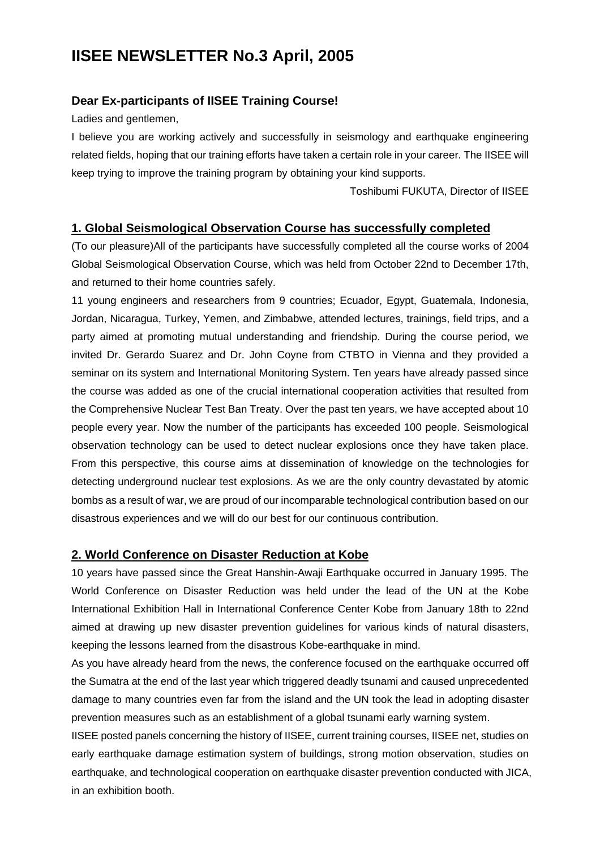# **IISEE NEWSLETTER No.3 April, 2005**

## **Dear Ex-participants of IISEE Training Course!**

Ladies and gentlemen,

I believe you are working actively and successfully in seismology and earthquake engineering related fields, hoping that our training efforts have taken a certain role in your career. The IISEE will keep trying to improve the training program by obtaining your kind supports.

Toshibumi FUKUTA, Director of IISEE

### **1. Global Seismological Observation Course has successfully completed**

(To our pleasure)All of the participants have successfully completed all the course works of 2004 Global Seismological Observation Course, which was held from October 22nd to December 17th, and returned to their home countries safely.

11 young engineers and researchers from 9 countries; Ecuador, Egypt, Guatemala, Indonesia, Jordan, Nicaragua, Turkey, Yemen, and Zimbabwe, attended lectures, trainings, field trips, and a party aimed at promoting mutual understanding and friendship. During the course period, we invited Dr. Gerardo Suarez and Dr. John Coyne from CTBTO in Vienna and they provided a seminar on its system and International Monitoring System. Ten years have already passed since the course was added as one of the crucial international cooperation activities that resulted from the Comprehensive Nuclear Test Ban Treaty. Over the past ten years, we have accepted about 10 people every year. Now the number of the participants has exceeded 100 people. Seismological observation technology can be used to detect nuclear explosions once they have taken place. From this perspective, this course aims at dissemination of knowledge on the technologies for detecting underground nuclear test explosions. As we are the only country devastated by atomic bombs as a result of war, we are proud of our incomparable technological contribution based on our disastrous experiences and we will do our best for our continuous contribution.

#### **2. World Conference on Disaster Reduction at Kobe**

10 years have passed since the Great Hanshin-Awaji Earthquake occurred in January 1995. The World Conference on Disaster Reduction was held under the lead of the UN at the Kobe International Exhibition Hall in International Conference Center Kobe from January 18th to 22nd aimed at drawing up new disaster prevention guidelines for various kinds of natural disasters, keeping the lessons learned from the disastrous Kobe-earthquake in mind.

As you have already heard from the news, the conference focused on the earthquake occurred off the Sumatra at the end of the last year which triggered deadly tsunami and caused unprecedented damage to many countries even far from the island and the UN took the lead in adopting disaster prevention measures such as an establishment of a global tsunami early warning system.

IISEE posted panels concerning the history of IISEE, current training courses, IISEE net, studies on early earthquake damage estimation system of buildings, strong motion observation, studies on earthquake, and technological cooperation on earthquake disaster prevention conducted with JICA, in an exhibition booth.